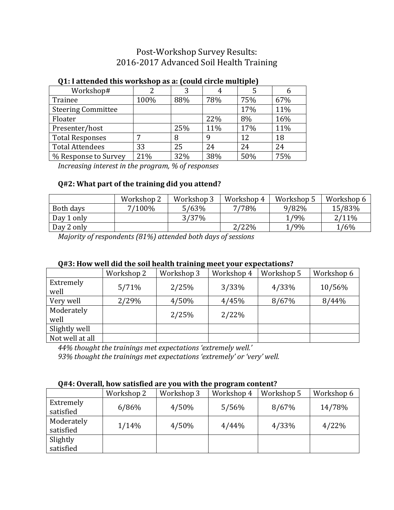# Post-Workshop Survey Results: 2016-2017 Advanced Soil Health Training

# Workshop# 2 3 4 5 6 Trainee 100% 88% 78% 75% 67% Steering Committee  $\vert$   $\vert$  17% 11% Floater  $\vert$   $\vert$  22% 8% 16% Presenter/host 25% 11% 17% 11%

Total Responses  $\begin{array}{|c|c|c|c|c|c|c|c|} \hline 7 & & 8 & 9 & 12 & 18 \ \hline \end{array}$ Total Attendees 23 25 24 24 24 % Response to Survey 21% 32% 38% 50% 75%

#### **Q1: I attended this workshop as a: (could circle multiple)**

*Increasing interest in the program, % of responses*

### **Q#2: What part of the training did you attend?**

|            | Workshop 2 | Workshop 3 | Workshop 4 | Workshop 5 | Workshop 6 |
|------------|------------|------------|------------|------------|------------|
| Both days  | 7/100%     | 5/63%      | 7/78%      | 9/82%      | 15/83%     |
| Day 1 only |            | 3/37%      |            | $1/9\%$    | $2/11\%$   |
| Day 2 only |            |            | 2/22%      | 1/9%       | 1/6%       |

*Majority of respondents (81%) attended both days of sessions*

#### **Q#3: How well did the soil health training meet your expectations?**

|                    | Workshop 2 | Workshop 3 | Workshop 4 | Workshop 5 | Workshop 6 |
|--------------------|------------|------------|------------|------------|------------|
| Extremely<br>well  | 5/71%      | 2/25%      | 3/33%      | 4/33%      | 10/56%     |
| Very well          | 2/29%      | 4/50%      | 4/45%      | 8/67%      | 8/44%      |
| Moderately<br>well |            | 2/25%      | 2/22%      |            |            |
| Slightly well      |            |            |            |            |            |
| Not well at all    |            |            |            |            |            |

*44% thought the trainings met expectations 'extremely well.'*

*93% thought the trainings met expectations 'extremely' or 'very' well.*

#### **Q#4: Overall, how satisfied are you with the program content?**

|                         | Workshop 2 | Workshop 3 | Workshop 4 | Workshop 5 | Workshop 6 |
|-------------------------|------------|------------|------------|------------|------------|
| Extremely<br>satisfied  | 6/86%      | 4/50%      | 5/56%      | 8/67%      | 14/78%     |
| Moderately<br>satisfied | 1/14%      | 4/50%      | 4/44%      | 4/33%      | 4/22%      |
| Slightly<br>satisfied   |            |            |            |            |            |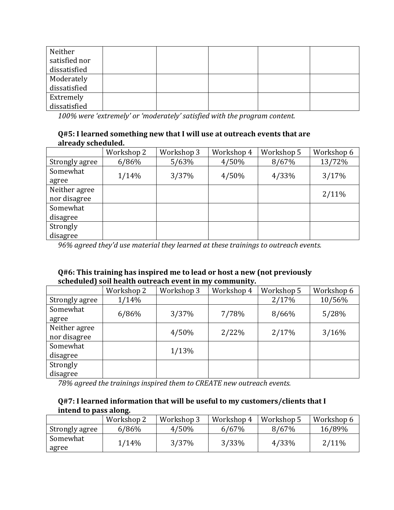| Neither<br>satisfied nor |  |  |  |
|--------------------------|--|--|--|
| dissatisfied             |  |  |  |
| Moderately               |  |  |  |
| dissatisfied             |  |  |  |
| Extremely                |  |  |  |
| dissatisfied             |  |  |  |

*100% were 'extremely' or 'moderately' satisfied with the program content.*

#### **Q#5: I learned something new that I will use at outreach events that are already scheduled.**

|                | Workshop 2 | Workshop 3 | Workshop 4 | Workshop 5 | Workshop 6 |
|----------------|------------|------------|------------|------------|------------|
| Strongly agree | 6/86%      | 5/63%      | 4/50%      | 8/67%      | 13/72%     |
| Somewhat       |            |            |            |            |            |
| agree          | 1/14%      | 3/37%      | 4/50%      | 4/33%      | 3/17%      |
| Neither agree  |            |            |            |            |            |
| nor disagree   |            |            |            |            | $2/11\%$   |
| Somewhat       |            |            |            |            |            |
| disagree       |            |            |            |            |            |
| Strongly       |            |            |            |            |            |
| disagree       |            |            |            |            |            |

*96% agreed they'd use material they learned at these trainings to outreach events.*

#### **Q#6: This training has inspired me to lead or host a new (not previously scheduled) soil health outreach event in my community.**

|                | Workshop 2 | Workshop 3 | Workshop 4 | Workshop 5 | Workshop 6 |
|----------------|------------|------------|------------|------------|------------|
| Strongly agree | 1/14%      |            |            | 2/17%      | 10/56%     |
| Somewhat       |            | 3/37%      | 7/78%      | 8/66%      |            |
| agree          | 6/86%      |            |            |            | 5/28%      |
| Neither agree  |            | 4/50%      | 2/22%      | 2/17%      | 3/16%      |
| nor disagree   |            |            |            |            |            |
| Somewhat       |            | 1/13%      |            |            |            |
| disagree       |            |            |            |            |            |
| Strongly       |            |            |            |            |            |
| disagree       |            |            |            |            |            |

*78% agreed the trainings inspired them to CREATE new outreach events.*

## **Q#7: I learned information that will be useful to my customers/clients that I intend to pass along.**

|                | Workshop 2 | Workshop 3 | Workshop 4 | Workshop 5 | Workshop 6 |
|----------------|------------|------------|------------|------------|------------|
| Strongly agree | 6/86%      | 4/50%      | 6/67%      | 8/67%      | 16/89%     |
| Somewhat       | 1/14%      | 3/37%      | 3/33%      | 4/33%      | $2/11\%$   |
| agree          |            |            |            |            |            |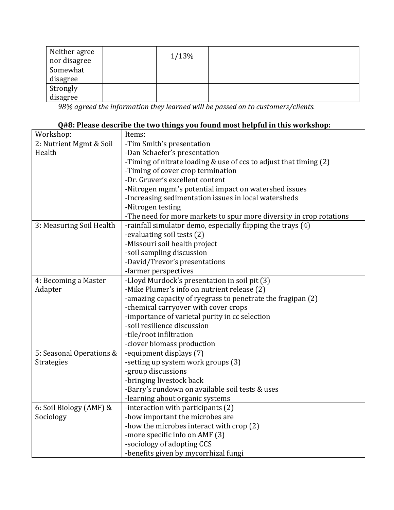| Neither agree<br>nor disagree | 1/13% |  |  |
|-------------------------------|-------|--|--|
| Somewhat                      |       |  |  |
| disagree                      |       |  |  |
|                               |       |  |  |
| Strongly<br>disagree          |       |  |  |

*98% agreed the information they learned will be passed on to customers/clients.*

# **Q#8: Please describe the two things you found most helpful in this workshop:**

| Workshop:                | Items:                                                              |
|--------------------------|---------------------------------------------------------------------|
| 2: Nutrient Mgmt & Soil  | -Tim Smith's presentation                                           |
| Health                   | -Dan Schaefer's presentation                                        |
|                          | -Timing of nitrate loading & use of ccs to adjust that timing (2)   |
|                          | -Timing of cover crop termination                                   |
|                          | -Dr. Gruver's excellent content                                     |
|                          | -Nitrogen mgmt's potential impact on watershed issues               |
|                          | -Increasing sedimentation issues in local watersheds                |
|                          | -Nitrogen testing                                                   |
|                          | -The need for more markets to spur more diversity in crop rotations |
| 3: Measuring Soil Health | -rainfall simulator demo, especially flipping the trays (4)         |
|                          | -evaluating soil tests (2)                                          |
|                          | -Missouri soil health project                                       |
|                          | -soil sampling discussion                                           |
|                          | -David/Trevor's presentations                                       |
|                          | -farmer perspectives                                                |
| 4: Becoming a Master     | -Lloyd Murdock's presentation in soil pit (3)                       |
| Adapter                  | -Mike Plumer's info on nutrient release (2)                         |
|                          | -amazing capacity of ryegrass to penetrate the fragipan (2)         |
|                          | -chemical carryover with cover crops                                |
|                          | -importance of varietal purity in cc selection                      |
|                          | -soil resilience discussion                                         |
|                          | -tile/root infiltration                                             |
|                          | -clover biomass production                                          |
| 5: Seasonal Operations & | -equipment displays (7)                                             |
| Strategies               | -setting up system work groups (3)                                  |
|                          | -group discussions                                                  |
|                          | -bringing livestock back                                            |
|                          | -Barry's rundown on available soil tests & uses                     |
|                          | -learning about organic systems                                     |
| 6: Soil Biology (AMF) &  | -interaction with participants (2)                                  |
| Sociology                | -how important the microbes are                                     |
|                          | -how the microbes interact with crop (2)                            |
|                          | -more specific info on AMF (3)                                      |
|                          | -sociology of adopting CCS                                          |
|                          | -benefits given by mycorrhizal fungi                                |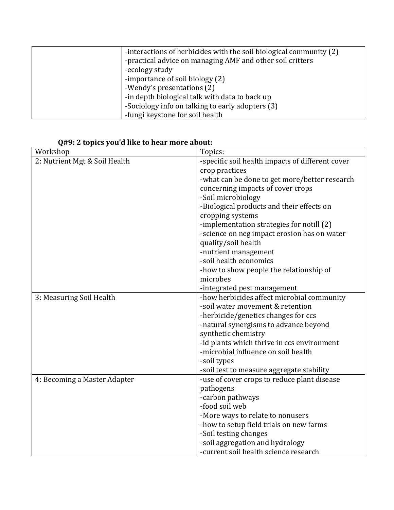| -interactions of herbicides with the soil biological community (2)<br>-practical advice on managing AMF and other soil critters |
|---------------------------------------------------------------------------------------------------------------------------------|
| -ecology study                                                                                                                  |
| -importance of soil biology (2)                                                                                                 |
| -Wendy's presentations (2)                                                                                                      |
| -in depth biological talk with data to back up                                                                                  |
| -Sociology info on talking to early adopters (3)                                                                                |
| -fungi keystone for soil health                                                                                                 |

| Workshop                      | Topics:                                          |
|-------------------------------|--------------------------------------------------|
| 2: Nutrient Mgt & Soil Health | -specific soil health impacts of different cover |
|                               | crop practices                                   |
|                               | -what can be done to get more/better research    |
|                               | concerning impacts of cover crops                |
|                               | -Soil microbiology                               |
|                               | -Biological products and their effects on        |
|                               | cropping systems                                 |
|                               | -implementation strategies for notill (2)        |
|                               | -science on neg impact erosion has on water      |
|                               | quality/soil health                              |
|                               | -nutrient management                             |
|                               | -soil health economics                           |
|                               | -how to show people the relationship of          |
|                               | microbes                                         |
|                               | -integrated pest management                      |
| 3: Measuring Soil Health      | -how herbicides affect microbial community       |
|                               | -soil water movement & retention                 |
|                               | -herbicide/genetics changes for ccs              |
|                               | -natural synergisms to advance beyond            |
|                               | synthetic chemistry                              |
|                               | -id plants which thrive in ccs environment       |
|                               | -microbial influence on soil health              |
|                               | -soil types                                      |
|                               | -soil test to measure aggregate stability        |
| 4: Becoming a Master Adapter  | -use of cover crops to reduce plant disease      |
|                               | pathogens                                        |
|                               | -carbon pathways                                 |
|                               | -food soil web                                   |
|                               | -More ways to relate to nonusers                 |
|                               | -how to setup field trials on new farms          |
|                               | -Soil testing changes                            |
|                               | -soil aggregation and hydrology                  |
|                               | -current soil health science research            |

## **Q#9: 2 topics you'd like to hear more about:**